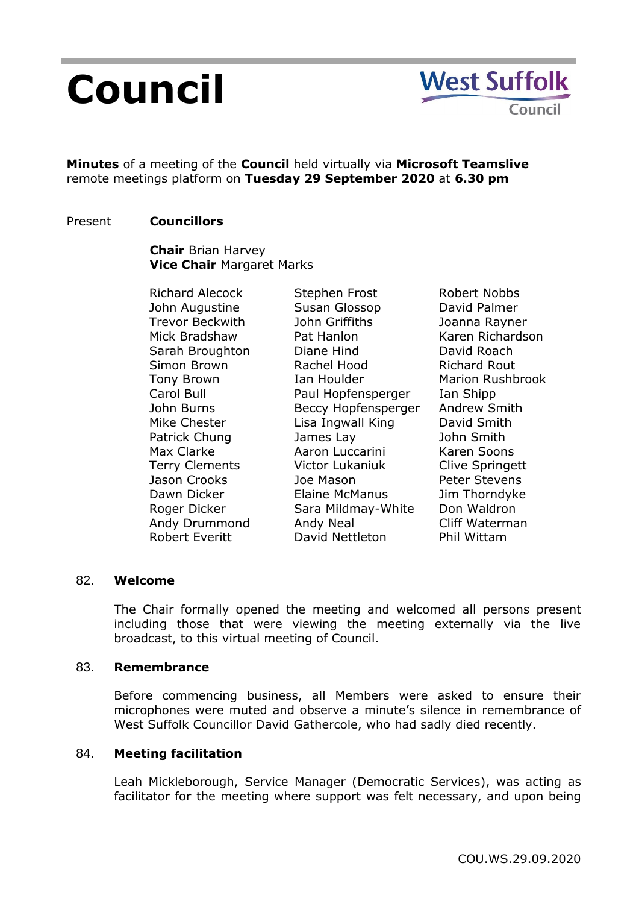# **Council**



**Minutes** of a meeting of the **Council** held virtually via **Microsoft Teamslive** remote meetings platform on **Tuesday 29 September 2020** at **6.30 pm**

## Present **Councillors**

**Chair** Brian Harvey **Vice Chair** Margaret Marks

Richard Alecock John Augustine Trevor Beckwith Mick Bradshaw Sarah Broughton Simon Brown Tony Brown Carol Bull John Burns Mike Chester Patrick Chung Max Clarke Terry Clements Jason Crooks Dawn Dicker Roger Dicker Andy Drummond Robert Everitt

Stephen Frost Susan Glossop John Griffiths Pat Hanlon Diane Hind Rachel Hood Ian Houlder Paul Hopfensperger Beccy Hopfensperger Lisa Ingwall King James Lay Aaron Luccarini Victor Lukaniuk Joe Mason Elaine McManus Sara Mildmay-White Andy Neal David Nettleton

Robert Nobbs David Palmer Joanna Rayner Karen Richardson David Roach Richard Rout Marion Rushbrook Ian Shipp Andrew Smith David Smith John Smith Karen Soons Clive Springett Peter Stevens Jim Thorndyke Don Waldron Cliff Waterman Phil Wittam

## 82. **Welcome**

The Chair formally opened the meeting and welcomed all persons present including those that were viewing the meeting externally via the live broadcast, to this virtual meeting of Council.

## 83. **Remembrance**

Before commencing business, all Members were asked to ensure their microphones were muted and observe a minute's silence in remembrance of West Suffolk Councillor David Gathercole, who had sadly died recently.

## 84. **Meeting facilitation**

Leah Mickleborough, Service Manager (Democratic Services), was acting as facilitator for the meeting where support was felt necessary, and upon being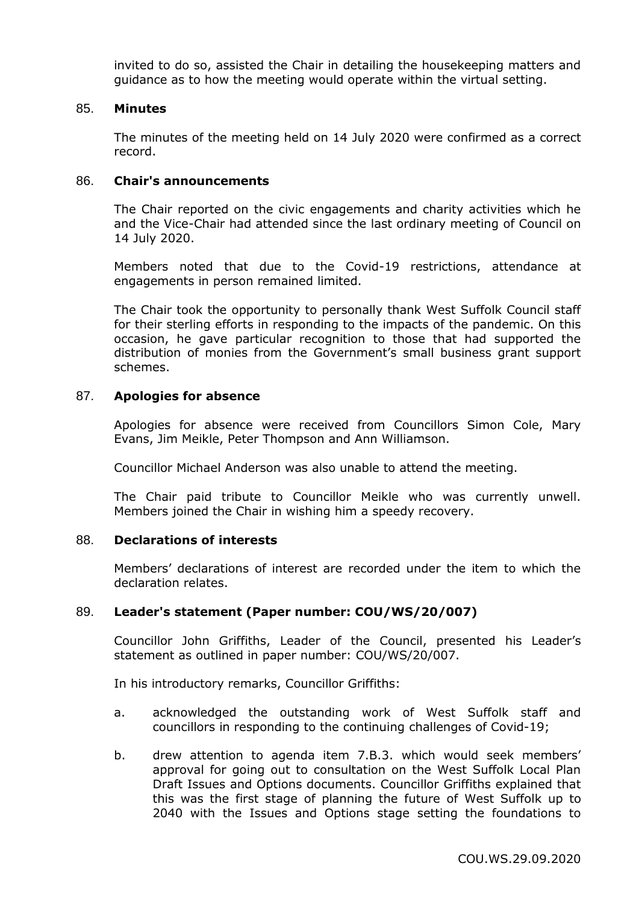invited to do so, assisted the Chair in detailing the housekeeping matters and guidance as to how the meeting would operate within the virtual setting.

## 85. **Minutes**

The minutes of the meeting held on 14 July 2020 were confirmed as a correct record.

#### 86. **Chair's announcements**

The Chair reported on the civic engagements and charity activities which he and the Vice-Chair had attended since the last ordinary meeting of Council on 14 July 2020.

Members noted that due to the Covid-19 restrictions, attendance at engagements in person remained limited.

The Chair took the opportunity to personally thank West Suffolk Council staff for their sterling efforts in responding to the impacts of the pandemic. On this occasion, he gave particular recognition to those that had supported the distribution of monies from the Government's small business grant support schemes.

## 87. **Apologies for absence**

Apologies for absence were received from Councillors Simon Cole, Mary Evans, Jim Meikle, Peter Thompson and Ann Williamson.

Councillor Michael Anderson was also unable to attend the meeting.

The Chair paid tribute to Councillor Meikle who was currently unwell. Members joined the Chair in wishing him a speedy recovery.

## 88. **Declarations of interests**

Members' declarations of interest are recorded under the item to which the declaration relates.

## 89. **Leader's statement (Paper number: COU/WS/20/007)**

Councillor John Griffiths, Leader of the Council, presented his Leader's statement as outlined in paper number: COU/WS/20/007.

In his introductory remarks, Councillor Griffiths:

- a. acknowledged the outstanding work of West Suffolk staff and councillors in responding to the continuing challenges of Covid-19;
- b. drew attention to agenda item 7.B.3. which would seek members' approval for going out to consultation on the West Suffolk Local Plan Draft Issues and Options documents. Councillor Griffiths explained that this was the first stage of planning the future of West Suffolk up to 2040 with the Issues and Options stage setting the foundations to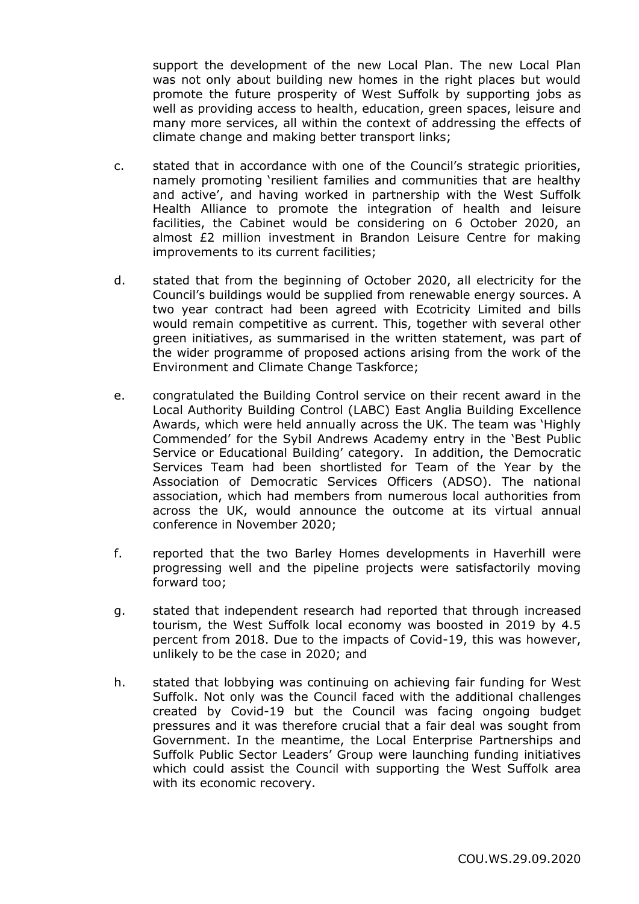support the development of the new Local Plan. The new Local Plan was not only about building new homes in the right places but would promote the future prosperity of West Suffolk by supporting jobs as well as providing access to health, education, green spaces, leisure and many more services, all within the context of addressing the effects of climate change and making better transport links;

- c. stated that in accordance with one of the Council's strategic priorities, namely promoting 'resilient families and communities that are healthy and active', and having worked in partnership with the West Suffolk Health Alliance to promote the integration of health and leisure facilities, the Cabinet would be considering on 6 October 2020, an almost £2 million investment in Brandon Leisure Centre for making improvements to its current facilities;
- d. stated that from the beginning of October 2020, all electricity for the Council's buildings would be supplied from renewable energy sources. A two year contract had been agreed with Ecotricity Limited and bills would remain competitive as current. This, together with several other green initiatives, as summarised in the written statement, was part of the wider programme of proposed actions arising from the work of the Environment and Climate Change Taskforce;
- e. congratulated the Building Control service on their recent award in the Local Authority Building Control (LABC) East Anglia Building Excellence Awards, which were held annually across the UK. The team was 'Highly Commended' for the Sybil Andrews Academy entry in the 'Best Public Service or Educational Building' category. In addition, the Democratic Services Team had been shortlisted for Team of the Year by the Association of Democratic Services Officers (ADSO). The national association, which had members from numerous local authorities from across the UK, would announce the outcome at its virtual annual conference in November 2020;
- f. reported that the two Barley Homes developments in Haverhill were progressing well and the pipeline projects were satisfactorily moving forward too;
- g. stated that independent research had reported that through increased tourism, the West Suffolk local economy was boosted in 2019 by 4.5 percent from 2018. Due to the impacts of Covid-19, this was however, unlikely to be the case in 2020; and
- h. stated that lobbying was continuing on achieving fair funding for West Suffolk. Not only was the Council faced with the additional challenges created by Covid-19 but the Council was facing ongoing budget pressures and it was therefore crucial that a fair deal was sought from Government. In the meantime, the Local Enterprise Partnerships and Suffolk Public Sector Leaders' Group were launching funding initiatives which could assist the Council with supporting the West Suffolk area with its economic recovery.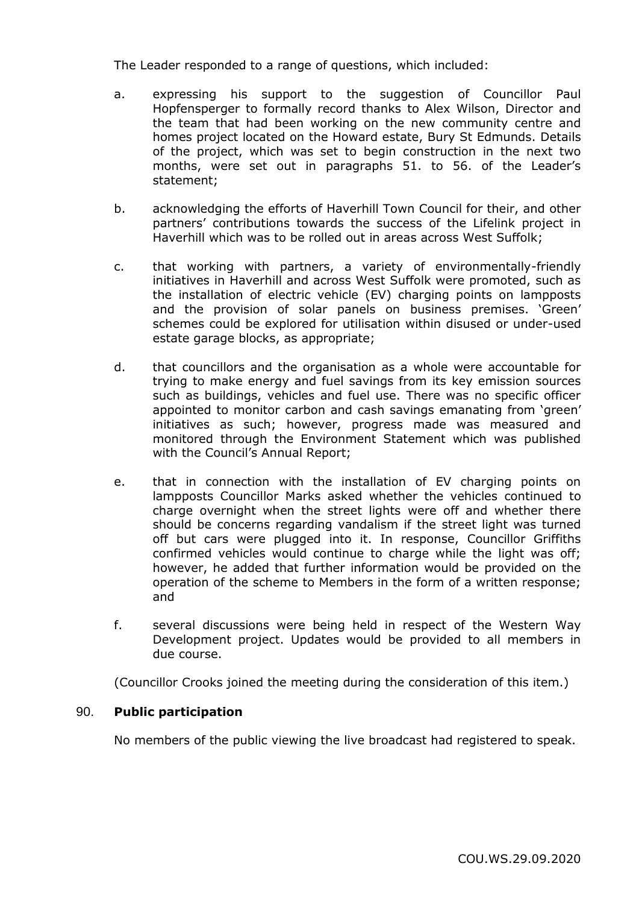The Leader responded to a range of questions, which included:

- a. expressing his support to the suggestion of Councillor Paul Hopfensperger to formally record thanks to Alex Wilson, Director and the team that had been working on the new community centre and homes project located on the Howard estate, Bury St Edmunds. Details of the project, which was set to begin construction in the next two months, were set out in paragraphs 51. to 56. of the Leader's statement;
- b. acknowledging the efforts of Haverhill Town Council for their, and other partners' contributions towards the success of the Lifelink project in Haverhill which was to be rolled out in areas across West Suffolk;
- c. that working with partners, a variety of environmentally-friendly initiatives in Haverhill and across West Suffolk were promoted, such as the installation of electric vehicle (EV) charging points on lampposts and the provision of solar panels on business premises. 'Green' schemes could be explored for utilisation within disused or under-used estate garage blocks, as appropriate;
- d. that councillors and the organisation as a whole were accountable for trying to make energy and fuel savings from its key emission sources such as buildings, vehicles and fuel use. There was no specific officer appointed to monitor carbon and cash savings emanating from 'green' initiatives as such; however, progress made was measured and monitored through the Environment Statement which was published with the Council's Annual Report;
- e. that in connection with the installation of EV charging points on lampposts Councillor Marks asked whether the vehicles continued to charge overnight when the street lights were off and whether there should be concerns regarding vandalism if the street light was turned off but cars were plugged into it. In response, Councillor Griffiths confirmed vehicles would continue to charge while the light was off; however, he added that further information would be provided on the operation of the scheme to Members in the form of a written response; and
- f. several discussions were being held in respect of the Western Way Development project. Updates would be provided to all members in due course.

(Councillor Crooks joined the meeting during the consideration of this item.)

## 90. **Public participation**

No members of the public viewing the live broadcast had registered to speak.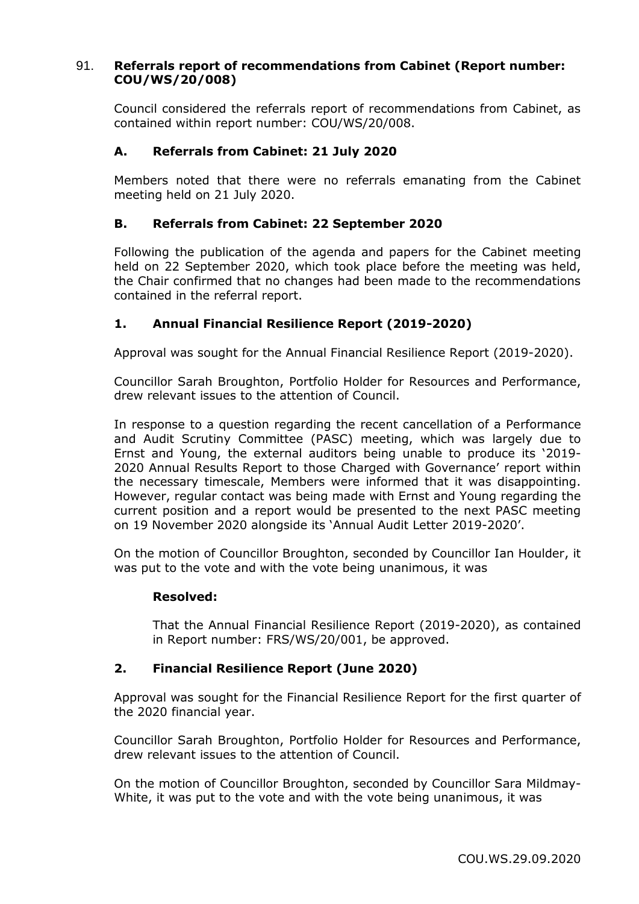## 91. **Referrals report of recommendations from Cabinet (Report number: COU/WS/20/008)**

Council considered the referrals report of recommendations from Cabinet, as contained within report number: COU/WS/20/008.

## **A. Referrals from Cabinet: 21 July 2020**

Members noted that there were no referrals emanating from the Cabinet meeting held on 21 July 2020.

## **B. Referrals from Cabinet: 22 September 2020**

Following the publication of the agenda and papers for the Cabinet meeting held on 22 September 2020, which took place before the meeting was held, the Chair confirmed that no changes had been made to the recommendations contained in the referral report.

## **1. Annual Financial Resilience Report (2019-2020)**

Approval was sought for the Annual Financial Resilience Report (2019-2020).

Councillor Sarah Broughton, Portfolio Holder for Resources and Performance, drew relevant issues to the attention of Council.

In response to a question regarding the recent cancellation of a Performance and Audit Scrutiny Committee (PASC) meeting, which was largely due to Ernst and Young, the external auditors being unable to produce its '2019- 2020 Annual Results Report to those Charged with Governance' report within the necessary timescale, Members were informed that it was disappointing. However, regular contact was being made with Ernst and Young regarding the current position and a report would be presented to the next PASC meeting on 19 November 2020 alongside its 'Annual Audit Letter 2019-2020'.

On the motion of Councillor Broughton, seconded by Councillor Ian Houlder, it was put to the vote and with the vote being unanimous, it was

## **Resolved:**

That the Annual Financial Resilience Report (2019-2020), as contained in Report number: FRS/WS/20/001, be approved.

## **2. Financial Resilience Report (June 2020)**

Approval was sought for the Financial Resilience Report for the first quarter of the 2020 financial year.

Councillor Sarah Broughton, Portfolio Holder for Resources and Performance, drew relevant issues to the attention of Council.

On the motion of Councillor Broughton, seconded by Councillor Sara Mildmay-White, it was put to the vote and with the vote being unanimous, it was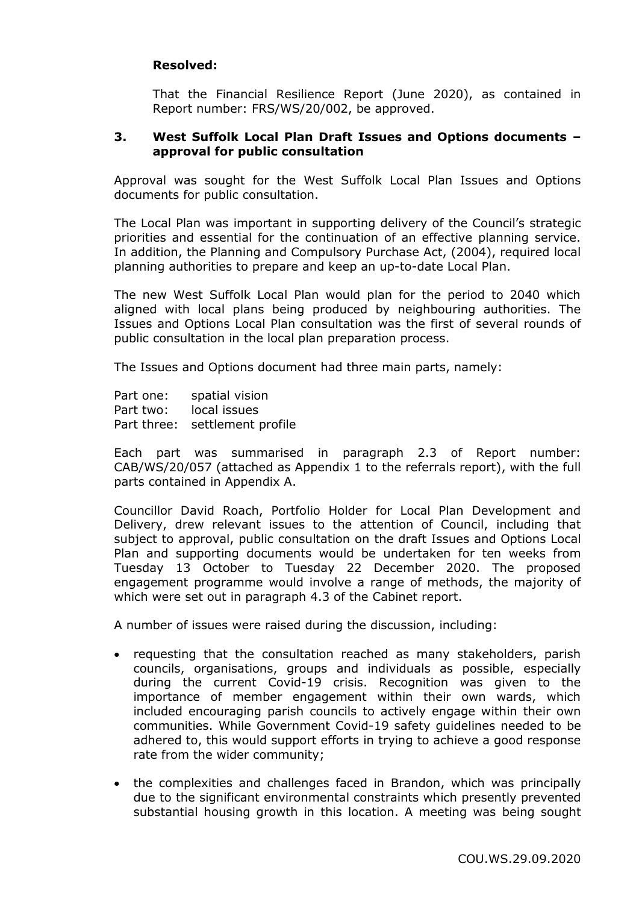## **Resolved:**

That the Financial Resilience Report (June 2020), as contained in Report number: FRS/WS/20/002, be approved.

## **3. West Suffolk Local Plan Draft Issues and Options documents – approval for public consultation**

Approval was sought for the West Suffolk Local Plan Issues and Options documents for public consultation.

The Local Plan was important in supporting delivery of the Council's strategic priorities and essential for the continuation of an effective planning service. In addition, the Planning and Compulsory Purchase Act, (2004), required local planning authorities to prepare and keep an up-to-date Local Plan.

The new West Suffolk Local Plan would plan for the period to 2040 which aligned with local plans being produced by neighbouring authorities. The Issues and Options Local Plan consultation was the first of several rounds of public consultation in the local plan preparation process.

The Issues and Options document had three main parts, namely:

Part one: spatial vision Part two: local issues Part three: settlement profile

Each part was summarised in paragraph 2.3 of Report number: CAB/WS/20/057 (attached as Appendix 1 to the referrals report), with the full parts contained in Appendix A.

Councillor David Roach, Portfolio Holder for Local Plan Development and Delivery, drew relevant issues to the attention of Council, including that subject to approval, public consultation on the draft Issues and Options Local Plan and supporting documents would be undertaken for ten weeks from Tuesday 13 October to Tuesday 22 December 2020. The proposed engagement programme would involve a range of methods, the majority of which were set out in paragraph 4.3 of the Cabinet report.

A number of issues were raised during the discussion, including:

- requesting that the consultation reached as many stakeholders, parish councils, organisations, groups and individuals as possible, especially during the current Covid-19 crisis. Recognition was given to the importance of member engagement within their own wards, which included encouraging parish councils to actively engage within their own communities. While Government Covid-19 safety guidelines needed to be adhered to, this would support efforts in trying to achieve a good response rate from the wider community;
- the complexities and challenges faced in Brandon, which was principally due to the significant environmental constraints which presently prevented substantial housing growth in this location. A meeting was being sought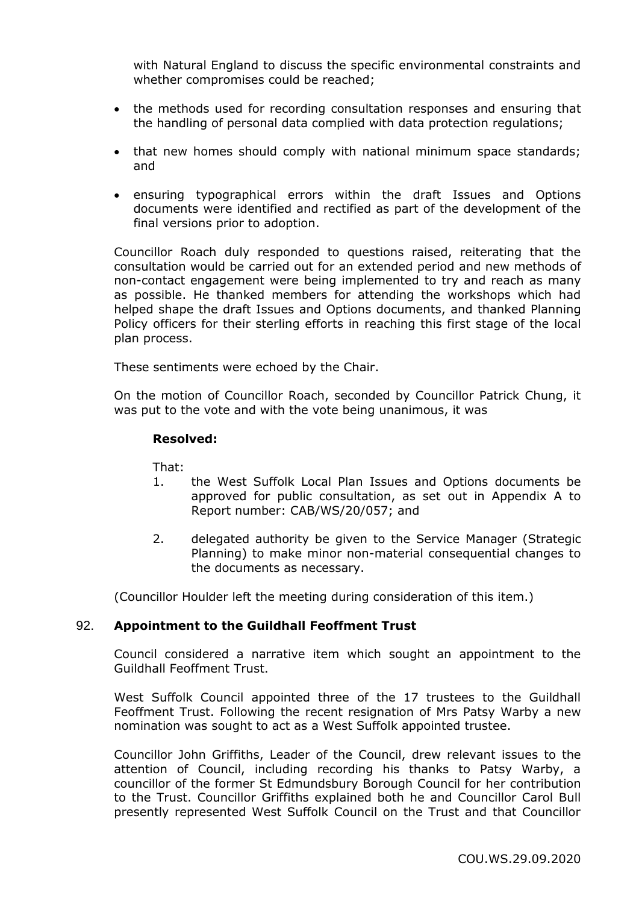with Natural England to discuss the specific environmental constraints and whether compromises could be reached;

- the methods used for recording consultation responses and ensuring that the handling of personal data complied with data protection regulations;
- that new homes should comply with national minimum space standards; and
- ensuring typographical errors within the draft Issues and Options documents were identified and rectified as part of the development of the final versions prior to adoption.

Councillor Roach duly responded to questions raised, reiterating that the consultation would be carried out for an extended period and new methods of non-contact engagement were being implemented to try and reach as many as possible. He thanked members for attending the workshops which had helped shape the draft Issues and Options documents, and thanked Planning Policy officers for their sterling efforts in reaching this first stage of the local plan process.

These sentiments were echoed by the Chair.

On the motion of Councillor Roach, seconded by Councillor Patrick Chung, it was put to the vote and with the vote being unanimous, it was

## **Resolved:**

That:

- 1. the West Suffolk Local Plan Issues and Options documents be approved for public consultation, as set out in Appendix A to Report number: CAB/WS/20/057; and
- 2. delegated authority be given to the Service Manager (Strategic Planning) to make minor non-material consequential changes to the documents as necessary.

(Councillor Houlder left the meeting during consideration of this item.)

## 92. **Appointment to the Guildhall Feoffment Trust**

Council considered a narrative item which sought an appointment to the Guildhall Feoffment Trust.

West Suffolk Council appointed three of the 17 trustees to the Guildhall Feoffment Trust. Following the recent resignation of Mrs Patsy Warby a new nomination was sought to act as a West Suffolk appointed trustee.

Councillor John Griffiths, Leader of the Council, drew relevant issues to the attention of Council, including recording his thanks to Patsy Warby, a councillor of the former St Edmundsbury Borough Council for her contribution to the Trust. Councillor Griffiths explained both he and Councillor Carol Bull presently represented West Suffolk Council on the Trust and that Councillor